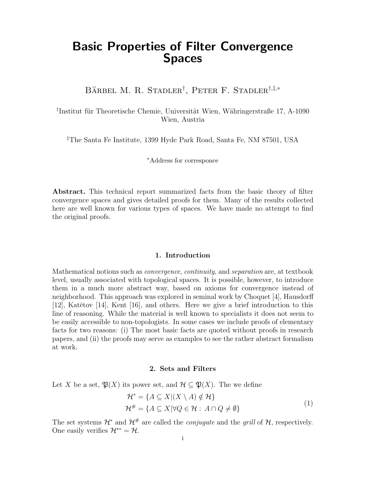# Basic Properties of Filter Convergence Spaces

BÄRBEL M. R. STADLER<sup>†</sup>, PETER F. STADLER<sup>†,‡,\*</sup>

<sup>†</sup>Institut für Theoretische Chemie, Universität Wien, Währingerstraße 17, A-1090 Wien, Austria

‡The Santa Fe Institute, 1399 Hyde Park Road, Santa Fe, NM 87501, USA

<sup>∗</sup>Address for corresponce

Abstract. This technical report summarized facts from the basic theory of filter convergence spaces and gives detailed proofs for them. Many of the results collected here are well known for various types of spaces. We have made no attempt to find the original proofs.

# 1. Introduction

Mathematical notions such as convergence, continuity, and separation are, at textbook level, usually associated with topological spaces. It is possible, however, to introduce them in a much more abstract way, based on axioms for convergence instead of neighborhood. This approach was explored in seminal work by Choquet [4], Hausdorff [12], Katětov [14], Kent [16], and others. Here we give a brief introduction to this line of reasoning. While the material is well known to specialists it does not seem to be easily accessible to non-topologists. In some cases we include proofs of elementary facts for two reasons: (i) The most basic facts are quoted without proofs in research papers, and (ii) the proofs may serve as examples to see the rather abstract formalism at work.

#### 2. Sets and Filters

Let X be a set,  $\mathfrak{P}(X)$  its power set, and  $\mathcal{H} \subseteq \mathfrak{P}(X)$ . The we define

$$
\mathcal{H}^* = \{ A \subseteq X | (X \setminus A) \notin \mathcal{H} \}
$$
  

$$
\mathcal{H}^{\#} = \{ A \subseteq X | \forall Q \in \mathcal{H} : A \cap Q \neq \emptyset \}
$$
  
(1)

The set systems  $\mathcal{H}^*$  and  $\mathcal{H}^{\#}$  are called the *conjugate* and the *grill* of  $\mathcal{H}$ , respectively. One easily verifies  $\mathcal{H}^{**} = \mathcal{H}$ .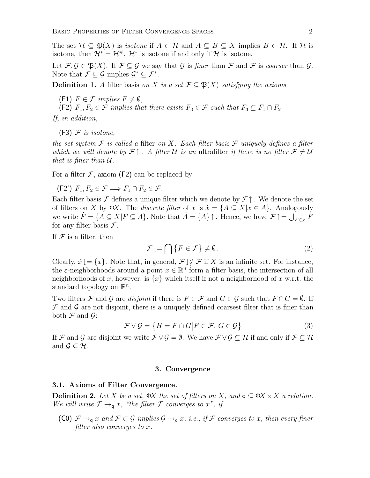The set  $\mathcal{H} \subseteq \mathfrak{P}(X)$  is *isotone* if  $A \in \mathcal{H}$  and  $A \subseteq B \subseteq X$  implies  $B \in \mathcal{H}$ . If  $\mathcal{H}$  is isotone, then  $\mathcal{H}^* = \mathcal{H}^*$ .  $\mathcal{H}^*$  is isotone if and only if  $\mathcal{H}$  is isotone.

Let  $\mathcal{F}, \mathcal{G} \in \mathfrak{P}(X)$ . If  $\mathcal{F} \subset \mathcal{G}$  we say that  $\mathcal{G}$  is finer than  $\mathcal{F}$  and  $\mathcal{F}$  is coarser than  $\mathcal{G}$ . Note that  $\mathcal{F} \subseteq \mathcal{G}$  implies  $\mathcal{G}^* \subseteq \mathcal{F}^*$ .

**Definition 1.** A filter basis on X is a set  $\mathcal{F} \subseteq \mathfrak{P}(X)$  satisfying the axioms

(F1)  $F \in \mathcal{F}$  implies  $F \neq \emptyset$ ,

(F2)  $F_1, F_2 \in \mathcal{F}$  implies that there exists  $F_3 \in \mathcal{F}$  such that  $F_3 \subseteq F_1 \cap F_2$ 

If, in addition,

 $(F3)$  F is isotone,

the set system  $\mathcal F$  is called a filter on X. Each filter basis  $\mathcal F$  uniquely defines a filter which we will denote by  $\mathcal{F} \uparrow$ . A filter U is an ultrafilter if there is no filter  $\mathcal{F} \neq \mathcal{U}$ that is finer than  $U$ .

For a filter  $\mathcal F$ , axiom (F2) can be replaced by

 $(F2')$   $F_1, F_2 \in \mathcal{F} \Longrightarrow F_1 \cap F_2 \in \mathcal{F}$ .

Each filter basis F defines a unique filter which we denote by  $\mathcal{F}\uparrow$ . We denote the set of filters on X by  $\Phi X$ . The *discrete filter* of x is  $\dot{x} = \{A \subseteq X | x \in A\}$ . Analogously we write  $\dot{F} = \{A \subseteq X | F \subseteq A\}$ . Note that  $\dot{A} = \{A\} \uparrow$ . Hence, we have  $\mathcal{F} \uparrow = \bigcup_{F \in \mathcal{F}} \dot{F}$ for any filter basis  $\mathcal{F}.$ 

If  $\mathcal F$  is a filter, then

$$
\mathcal{F}\downarrow = \bigcap \{F \in \mathcal{F}\} \neq \emptyset. \tag{2}
$$

Clearly,  $\dot{x} \downarrow = \{x\}$ . Note that, in general,  $\mathcal{F} \downarrow \notin \mathcal{F}$  if X is an infinite set. For instance, the  $\varepsilon$ -neighborhoods around a point  $x \in \mathbb{R}^n$  form a filter basis, the intersection of all neighborhoods of x, however, is  $\{x\}$  which itself if not a neighborhood of x w.r.t. the standard topology on  $\mathbb{R}^n$ .

Two filters F and G are disjoint if there is  $F \in \mathcal{F}$  and  $G \in \mathcal{G}$  such that  $F \cap G = \emptyset$ . If  $\mathcal F$  and  $\mathcal G$  are not disjoint, there is a uniquely defined coarsest filter that is finer than both  $\mathcal F$  and  $\mathcal G$ :

$$
\mathcal{F} \vee \mathcal{G} = \{ H = F \cap G \big| F \in \mathcal{F}, G \in \mathcal{G} \}
$$
\n
$$
(3)
$$

If F and G are disjoint we write  $\mathcal{F} \vee \mathcal{G} = \emptyset$ . We have  $\mathcal{F} \vee \mathcal{G} \subseteq \mathcal{H}$  if and only if  $\mathcal{F} \subseteq \mathcal{H}$ and  $\mathcal{G} \subseteq \mathcal{H}$ .

#### 3. Convergence

#### 3.1. Axioms of Filter Convergence.

**Definition 2.** Let X be a set,  $\Phi X$  the set of filters on X, and  $q \subseteq \Phi X \times X$  a relation. We will write  $\mathcal{F} \rightarrow_q x$ , "the filter  $\mathcal F$  converges to x", if

(C0)  $\mathcal{F} \rightarrow_q x$  and  $\mathcal{F} \subset \mathcal{G}$  implies  $\mathcal{G} \rightarrow_q x$ , i.e., if  $\mathcal{F}$  converges to x, then every finer filter also converges to x.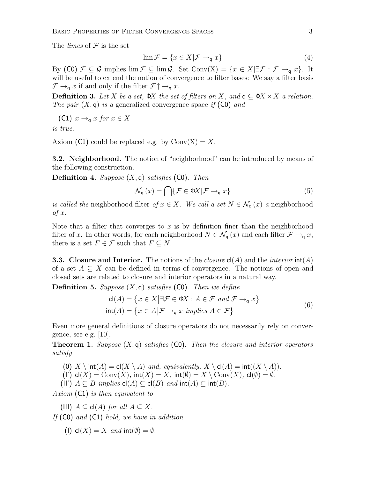BASIC PROPERTIES OF FILTER CONVERGENCE SPACES 3

The *limes* of  $\mathcal F$  is the set

$$
\lim \mathcal{F} = \{ x \in X | \mathcal{F} \to_{\mathsf{q}} x \} \tag{4}
$$

By (C0)  $\mathcal{F} \subseteq \mathcal{G}$  implies  $\lim \mathcal{F} \subseteq \lim \mathcal{G}$ . Set Conv(X) = { $x \in X$ | $\exists \mathcal{F} : \mathcal{F} \rightarrow_q x$ }. It will be useful to extend the notion of convergence to filter bases: We say a filter basis  $\mathcal{F} \rightarrow_q x$  if and only if the filter  $\mathcal{F} \uparrow \rightarrow_q x$ .

**Definition 3.** Let X be a set,  $\Phi X$  the set of filters on X, and  $q \subseteq \Phi X \times X$  a relation. The pair  $(X, \mathsf{q})$  is a generalized convergence space if  $(\mathsf{C} \mathsf{0})$  and

$$
(C1) \dot{x} \rightarrow_q x \text{ for } x \in X
$$

is true.

Axiom (C1) could be replaced e.g. by  $Conv(X) = X$ .

**3.2. Neighborhood.** The notion of "neighborhood" can be introduced by means of the following construction.

**Definition 4.** Suppose  $(X, \mathsf{q})$  satisfies (C0). Then

$$
\mathcal{N}_{q}(x) = \bigcap \{ \mathcal{F} \in \Phi X | \mathcal{F} \to_{q} x \}
$$
\n<sup>(5)</sup>

is called the neighborhood filter of  $x \in X$ . We call a set  $N \in \mathcal{N}_q(x)$  a neighborhood  $of x.$ 

Note that a filter that converges to  $x$  is by definition finer than the neighborhood filter of x. In other words, for each neighborhood  $N \in \mathcal{N}_{q}(x)$  and each filter  $\mathcal{F} \to_q x$ , there is a set  $F \in \mathcal{F}$  such that  $F \subseteq N$ .

**3.3.** Closure and Interior. The notions of the *closure*  $cl(A)$  and the *interior*  $int(A)$ of a set  $A \subseteq X$  can be defined in terms of convergence. The notions of open and closed sets are related to closure and interior operators in a natural way.

**Definition 5.** Suppose  $(X, \mathsf{q})$  satisfies  $(\mathsf{C}0)$ . Then we define

$$
\mathsf{cl}(A) = \{ x \in X \mid \exists \mathcal{F} \in \Phi X : A \in \mathcal{F} \text{ and } \mathcal{F} \to_{\mathsf{q}} x \}
$$
  
 
$$
\mathsf{int}(A) = \{ x \in A \mid \mathcal{F} \to_{\mathsf{q}} x \text{ implies } A \in \mathcal{F} \}
$$
 (6)

Even more general definitions of closure operators do not necessarily rely on convergence, see e.g. [10].

**Theorem 1.** Suppose  $(X, q)$  satisfies  $(C0)$ . Then the closure and interior operators satisfy

- (0) X \ int $(A) = cl(X \setminus A)$  and, equivalently,  $X \setminus cl(A) = int((X \setminus A))$ .
- (I')  $cl(X) = Conv(X)$ ,  $int(X) = X$ ,  $int(\emptyset) = X \setminus Conv(X)$ ,  $cl(\emptyset) = \emptyset$ .
- (II')  $A \subseteq B$  implies  $cl(A) \subseteq cl(B)$  and  $int(A) \subseteq int(B)$ .

Axiom (C1) is then equivalent to

(III)  $A \subseteq cl(A)$  for all  $A \subseteq X$ .

If  $(C0)$  and  $(C1)$  hold, we have in addition

(I) cl(X) = X and int( $\emptyset$ ) =  $\emptyset$ .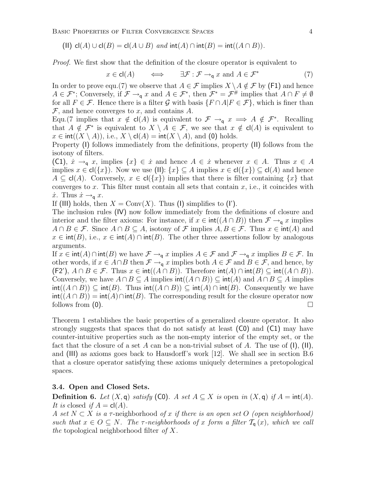BASIC PROPERTIES OF FILTER CONVERGENCE SPACES 4

(II)  $cl(A) \cup cl(B) = cl(A \cup B)$  and  $int(A) \cap int(B) = int((A \cap B)).$ 

Proof. We first show that the definition of the closure operator is equivalent to

$$
x \in \mathsf{cl}(A) \qquad \Longleftrightarrow \qquad \exists \mathcal{F} : \mathcal{F} \to_{\mathsf{q}} x \text{ and } A \in \mathcal{F}^* \tag{7}
$$

In order to prove equ.(7) we observe that  $A \in \mathcal{F}$  implies  $X \setminus A \notin \mathcal{F}$  by (F1) and hence  $A \in \mathcal{F}^*$ ; Conversely, if  $\mathcal{F} \to_{\mathsf{q}} x$  and  $A \in \mathcal{F}^*$ , then  $\mathcal{F}^* = \mathcal{F}^{\#}$  implies that  $A \cap F \neq \emptyset$ for all  $F \in \mathcal{F}$ . Hence there is a filter G with basis  $\{F \cap A | F \in \mathcal{F}\}\$ , which is finer than  $\mathcal F$ , and hence converges to x, and contains A.

Equ.(7 implies that  $x \notin cl(A)$  is equivalent to  $\mathcal{F} \to q$   $x \implies A \notin \mathcal{F}^*$ . Recalling that  $A \notin \mathcal{F}^*$  is equivalent to  $X \setminus A \in \mathcal{F}$ , we see that  $x \notin cl(A)$  is equivalent to  $x \in \text{int}((X \setminus A)),$  i.e.,  $X \setminus \text{cl}(A) = \text{int}(X \setminus A)$ , and (0) holds.

Property (I) follows immediately from the definitions, property (II) follows from the isotony of filters.

(C1),  $\dot{x} \to_q x$ , implies  $\{x\} \in \dot{x}$  and hence  $A \in \dot{x}$  whenever  $x \in A$ . Thus  $x \in A$ implies  $x \in cl({x})$ . Now we use (II):  ${x} \subseteq A$  implies  $x \in cl({x}) \subseteq cl(A)$  and hence  $A \subseteq cl(A)$ . Conversely,  $x \in cl({x})$  implies that there is filter containing  ${x}$  that converges to x. This filter must contain all sets that contain  $x$ , i.e., it coincides with  $\dot{x}$ . Thus  $\dot{x} \rightarrow_q x$ .

If (III) holds, then  $X = \text{Conv}(X)$ . Thus (I) simplifies to (I').

The inclusion rules (IV) now follow immediately from the definitions of closure and interior and the filter axioms: For instance, if  $x \in \text{int}((A \cap B))$  then  $\mathcal{F} \to_{\mathsf{q}} x$  implies  $A \cap B \in \mathcal{F}$ . Since  $A \cap B \subseteq A$ , isotony of  $\mathcal F$  implies  $A, B \in \mathcal{F}$ . Thus  $x \in \text{int}(A)$  and  $x \in \text{int}(B)$ , i.e.,  $x \in \text{int}(A) \cap \text{int}(B)$ . The other three assertions follow by analogous arguments.

If  $x \in \text{int}(A) \cap \text{int}(B)$  we have  $\mathcal{F} \to_{\mathsf{q}} x$  implies  $A \in \mathcal{F}$  and  $\mathcal{F} \to_{\mathsf{q}} x$  implies  $B \in \mathcal{F}$ . In other words, if  $x \in A \cap B$  then  $\mathcal{F} \to_{q} x$  implies both  $A \in \mathcal{F}$  and  $B \in \mathcal{F}$ , and hence, by  $(F2')$ ,  $A \cap B \in \mathcal{F}$ . Thus  $x \in \text{int}((A \cap B))$ . Therefore  $\text{int}(A) \cap \text{int}(B) \subseteq \text{int}((A \cap B))$ . Conversely, we have  $A \cap B \subseteq A$  implies  $\text{int}((A \cap B)) \subseteq \text{int}(A)$  and  $A \cap B \subseteq A$  implies  $\text{int}((A \cap B)) \subseteq \text{int}(B)$ . Thus  $\text{int}((A \cap B)) \subseteq \text{int}(A) \cap \text{int}(B)$ . Consequently we have  $\text{int}((A \cap B)) = \text{int}(A) \cap \text{int}(B)$ . The corresponding result for the closure operator now follows from  $(0)$ .

Theorem 1 establishes the basic properties of a generalized closure operator. It also strongly suggests that spaces that do not satisfy at least (C0) and (C1) may have counter-intuitive properties such as the non-empty interior of the empty set, or the fact that the closure of a set A can be a non-trivial subset of A. The use of  $(I)$ ,  $(II)$ , and (III) as axioms goes back to Hausdorff's work [12]. We shall see in section B.6 that a closure operator satisfying these axioms uniquely determines a pretopological spaces.

# 3.4. Open and Closed Sets.

**Definition 6.** Let  $(X, \mathsf{q})$  satisfy (C0). A set  $A \subseteq X$  is open in  $(X, \mathsf{q})$  if  $A = \text{int}(A)$ . It is closed if  $A = cl(A)$ .

A set  $N \subset X$  is a  $\tau$ -neighborhood of x if there is an open set O (open neighborhood) such that  $x \in O \subseteq N$ . The  $\tau$ -neighborhoods of x form a filter  $\mathcal{T}_{q}(x)$ , which we call the topological neighborhood filter of  $X$ .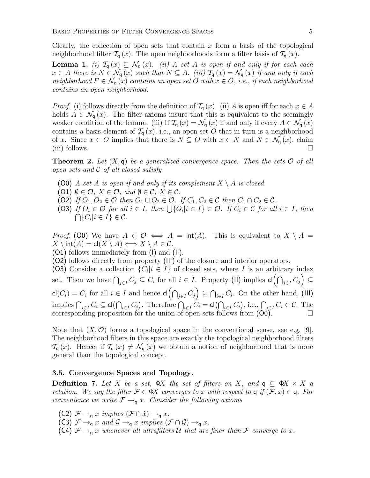Clearly, the collection of open sets that contain  $x$  form a basis of the topological neighborhood filter  $\mathcal{T}_{q}(x)$ . The open neighborhoods form a filter basis of  $\mathcal{T}_{q}(x)$ .

**Lemma 1.** (i)  $\mathcal{T}_{q}(x) \subseteq \mathcal{N}_{q}(x)$ . (ii) A set A is open if and only if for each each  $x \in A$  there is  $N \in \mathcal{N}_{q}(x)$  such that  $N \subseteq A$ . (iii)  $\mathcal{T}_{q}(x) = \mathcal{N}_{q}(x)$  if and only if each neighborhood  $F \in \mathcal{N}_q(x)$  contains an open set O with  $x \in O$ , i.e., if each neighborhood contains an open neighborhood.

*Proof.* (i) follows directly from the definition of  $\mathcal{T}_{q}(x)$ . (ii) A is open iff for each  $x \in A$ holds  $A \in \mathcal{N}_{q}(x)$ . The filter axioms insure that this is equivalent to the seemingly weaker condition of the lemma. (iii) If  $\mathcal{T}_{q}(x) = \mathcal{N}_{q}(x)$  if and only if every  $A \in \mathcal{N}_{q}(x)$ contains a basis element of  $\mathcal{T}_{q}(x)$ , i.e., an open set O that in turn is a neighborhood of x. Since  $x \in O$  implies that there is  $N \subseteq O$  with  $x \in N$  and  $N \in \mathcal{N}_q(x)$ , claim (iii) follows.  $\Box$ 

**Theorem 2.** Let  $(X, \mathsf{q})$  be a generalized convergence space. Then the sets  $\mathcal{O}$  of all open sets and  $C$  of all closed satisfy

- (O0) A set A is open if and only if its complement  $X \setminus A$  is closed.
- $(0,1) \emptyset \in \mathcal{O}, X \in \mathcal{O}, \text{ and } \emptyset \in \mathcal{C}, X \in \mathcal{C}.$
- (O2) If  $O_1, O_2 \in \mathcal{O}$  then  $O_1 \cup O_2 \in \mathcal{O}$ . If  $C_1, C_2 \in \mathcal{C}$  then  $C_1 \cap C_2 \in \mathcal{C}$ .
- (O3) If  $O_i \in \mathcal{O}$  for all  $i \in I$ , then  $\bigcup \{O_i | i \in I\} \in \mathcal{O}$ . If  $C_i \in \mathcal{C}$  for all  $i \in I$ , then  $\bigcap \{C_i | i \in I\} \in \mathcal{C}.$

*Proof.* (00) We have  $A \in \mathcal{O} \iff A = \text{int}(A)$ . This is equivalent to  $X \setminus A =$  $X \setminus \text{int}(A) = \text{cl}(X \setminus A) \Longleftrightarrow X \setminus A \in \mathcal{C}.$ 

(O1) follows immediately from (I) and (I').

(O2) follows directly from property (II') of the closure and interior operators.

(O3) Consider a collection  $\{C_i | i \in I\}$  of closed sets, where I is an arbitrary index set. Then we have  $\bigcap_{j\in I} C_j \subseteq C_i$  for all  $i \in I$ . Property (II) implies  $\textsf{cl}(\bigcap_{j\in I} C_j) \subseteq$  $\mathsf{cl}(C_i) = C_i$  for all  $i \in I$  and hence  $\mathsf{cl}(\bigcap_{j \in I} C_j) \subseteq \bigcap_{i \in I} C_i$ . On the other hand, (III) implies  $\bigcap_{i\in I} C_i \subseteq \mathsf{cl}(\bigcap_{i\in I} C_i)$ . Therefore  $\bigcap_{i\in I} C_i = \mathsf{cl}(\bigcap_{i\in I} C_i)$ , i.e.,  $\bigcap_{i\in I} C_i \in \mathcal{C}$ . The corresponding proposition for the union of open sets follows from (O0).

Note that  $(X, \mathcal{O})$  forms a topological space in the conventional sense, see e.g. [9]. The neighborhood filters in this space are exactly the topological neighborhood filters  $\mathcal{T}_{q}(x)$ . Hence, if  $\mathcal{T}_{q}(x) \neq \mathcal{N}_{q}(x)$  we obtain a notion of neighborhood that is more general than the topological concept.

### 3.5. Convergence Spaces and Topology.

**Definition 7.** Let X be a set,  $\Phi X$  the set of filters on X, and  $\mathbf{q} \subseteq \Phi X \times X$  a relation. We say the filter  $\mathcal{F} \in \Phi X$  converges to x with respect to q if  $(\mathcal{F}, x) \in \mathsf{q}$ . For convenience we write  $\mathcal{F} \rightarrow_q x$ . Consider the following axioms

- (C2)  $\mathcal{F} \rightarrow_q x \implies (\mathcal{F} \cap \dot{x}) \rightarrow_q x$ .
- (C3)  $\mathcal{F} \rightarrow_q x$  and  $\mathcal{G} \rightarrow_q x$  implies  $(\mathcal{F} \cap \mathcal{G}) \rightarrow_q x$ .
- (C4)  $\mathcal{F} \rightarrow_{q} x$  whenever all ultrafilters U that are finer than F converge to x.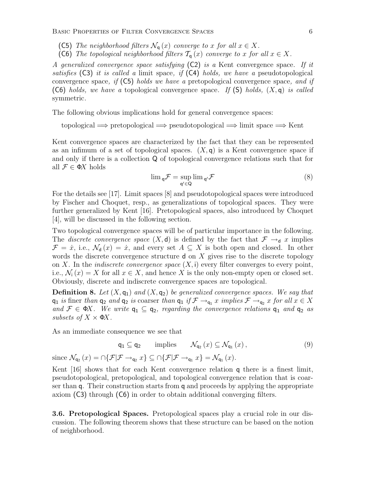BASIC PROPERTIES OF FILTER CONVERGENCE SPACES 6

- (C5) The neighborhood filters  $\mathcal{N}_{q}(x)$  converge to x for all  $x \in X$ .
- (C6) The topological neighborhood filters  $\mathcal{T}_{q}(x)$  converge to x for all  $x \in X$ .

A generalized convergence space satisfying (C2) is a Kent convergence space. If it satisfies  $(C3)$  it is called a limit space, if  $(C4)$  holds, we have a pseudotopological convergence space, if  $(C5)$  holds we have a pretopological convergence space, and if (C6) holds, we have a topological convergence space. If (S) holds,  $(X, \mathsf{q})$  is called symmetric.

The following obvious implications hold for general convergence spaces:

topological =⇒ pretopological =⇒ pseudotopological =⇒ limit space =⇒ Kent

Kent convergence spaces are characterized by the fact that they can be represented as an infimum of a set of topological spaces.  $(X, \mathsf{q})$  is a Kent convergence space if and only if there is a collection Q of topological convergence relations such that for all  $\mathcal{F} \in \Phi X$  holds

$$
\lim_{\mathsf{q}} \mathcal{F} = \sup_{\mathsf{q}' \in \mathsf{Q}} \lim_{\mathsf{q}'} \mathcal{F}
$$
 (8)

For the details see [17]. Limit spaces [8] and pseudotopological spaces were introduced by Fischer and Choquet, resp., as generalizations of topological spaces. They were further generalized by Kent [16]. Pretopological spaces, also introduced by Choquet [4], will be discussed in the following section.

Two topological convergence spaces will be of particular importance in the following. The *discrete convergence space*  $(X, d)$  is defined by the fact that  $\mathcal{F} \rightarrow_d x$  implies  $\mathcal{F} = \dot{x}$ , i.e.,  $\mathcal{N}_d(x) = \dot{x}$ , and every set  $A \subseteq X$  is both open and closed. In other words the discrete convergence structure  $d$  on  $X$  gives rise to the discrete topology on X. In the *indiscrete convergence space*  $(X, i)$  every filter converges to every point, i.e.,  $\mathcal{N}_i(x) = X$  for all  $x \in X$ , and hence X is the only non-empty open or closed set. Obviously, discrete and indiscrete convergence spaces are topological.

**Definition 8.** Let  $(X, \mathsf{q}_1)$  and  $(X, \mathsf{q}_2)$  be generalized convergence spaces. We say that  $q_1$  is finer than  $q_2$  and  $q_2$  is coarser than  $q_1$  if  $\mathcal{F} \to_{q_1} x$  implies  $\mathcal{F} \to_{q_2} x$  for all  $x \in X$ and  $\mathcal{F} \in \Phi X$ . We write  $q_1 \subseteq q_2$ , regarding the convergence relations  $q_1$  and  $q_2$  as subsets of  $X \times \Phi X$ .

As an immediate consequence we see that

$$
\mathsf{q}_1 \subseteq \mathsf{q}_2 \qquad \text{implies} \qquad \mathcal{N}_{\mathsf{q}_2}\left(x\right) \subseteq \mathcal{N}_{\mathsf{q}_1}\left(x\right),\tag{9}
$$

since  $\mathcal{N}_{q_2}(x) = \bigcap \{ \mathcal{F} | \mathcal{F} \to_{q_2} x \} \subseteq \bigcap \{ \mathcal{F} | \mathcal{F} \to_{q_1} x \} = \mathcal{N}_{q_1}(x)$ .

Kent [16] shows that for each Kent convergence relation q there is a finest limit, pseudotopological, pretopological, and topological convergence relation that is coarser than q. Their construction starts from q and proceeds by applying the appropriate axiom (C3) through (C6) in order to obtain additional converging filters.

3.6. Pretopological Spaces. Pretopological spaces play a crucial role in our discussion. The following theorem shows that these structure can be based on the notion of neighborhood.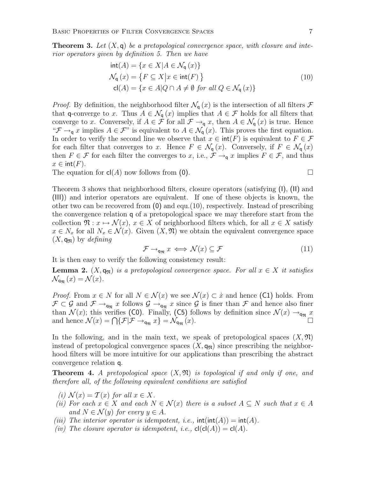**Theorem 3.** Let  $(X, \mathsf{q})$  be a pretopological convergence space, with closure and interior operators given by definition 5. Then we have

$$
int(A) = \{x \in X | A \in \mathcal{N}_q(x)\}
$$
  
\n
$$
\mathcal{N}_q(x) = \{F \subseteq X | x \in int(F) \}
$$
  
\n
$$
cl(A) = \{x \in A | Q \cap A \neq \emptyset \text{ for all } Q \in \mathcal{N}_q(x)\}
$$
\n(10)

*Proof.* By definition, the neighborhood filter  $\mathcal{N}_{q}(x)$  is the intersection of all filters  $\mathcal{F}$ that q-converge to x. Thus  $A \in \mathcal{N}_{q}(x)$  implies that  $A \in \mathcal{F}$  holds for all filters that converge to x. Conversely, if  $A \in \mathcal{F}$  for all  $\mathcal{F} \to_{q} x$ , then  $A \in \mathcal{N}_q(x)$  is true. Hence " $\mathcal{F} \to_{\mathsf{q}} x$  implies  $A \in \mathcal{F}$ " is equivalent to  $A \in \mathcal{N}_{\mathsf{q}}(x)$ . This proves the first equation. In order to verify the second line we observe that  $x \in \text{int}(F)$  is equivalent to  $F \in \mathcal{F}$ for each filter that converges to x. Hence  $F \in \mathcal{N}_{q}(x)$ . Conversely, if  $F \in \mathcal{N}_{q}(x)$ then  $F \in \mathcal{F}$  for each filter the converges to x, i.e.,  $\mathcal{F} \rightarrow_q x$  implies  $F \in \mathcal{F}$ , and thus  $x \in \text{int}(F)$ .

The equation for  $cl(A)$  now follows from (0).

Theorem 3 shows that neighborhood filters, closure operators (satisfying (I), (II) and (III)) and interior operators are equivalent. If one of these objects is known, the other two can be recovered from  $(0)$  and equ. $(10)$ , respectively. Instead of prescribing

the convergence relation q of a pretopological space we may therefore start from the collection  $\mathfrak{N}: x \mapsto \mathcal{N}(x), x \in X$  of neighborhood filters which, for all  $x \in X$  satisfy  $x \in N_x$  for all  $N_x \in \mathcal{N}(x)$ . Given  $(X, \mathfrak{N})$  we obtain the equivalent convergence space  $(X, \mathsf{q}_{\mathfrak{N}})$  by defining

$$
\mathcal{F} \to_{\mathsf{q}_{\mathfrak{N}}} x \iff \mathcal{N}(x) \subseteq \mathcal{F} \tag{11}
$$

It is then easy to verify the following consistency result:

**Lemma 2.**  $(X, q_n)$  is a pretopological convergence space. For all  $x \in X$  it satisfies  $\mathcal{N}_{\mathbf{q}_{\mathfrak{N}}}(x) = \mathcal{N}(x).$ 

*Proof.* From  $x \in N$  for all  $N \in \mathcal{N}(x)$  we see  $\mathcal{N}(x) \subset \dot{x}$  and hence (C1) holds. From  $\mathcal{F} \subset \mathcal{G}$  and  $\mathcal{F} \to_{\mathsf{q}_{\mathfrak{N}}} x$  follows  $\mathcal{G} \to_{\mathsf{q}_{\mathfrak{N}}} x$  since  $\mathcal{G}$  is finer than  $\mathcal{F}$  and hence also finer than  $\mathcal{N}(x)$ ; this verifies (C0). Finally, (C5) follows by definition since  $\mathcal{N}(x) \rightarrow_{\mathsf{q}_{\mathfrak{N}}} x$ and hence  $\mathcal{N}(x) = \bigcap \{ \mathcal{F} | \mathcal{F} \to_{\mathsf{q}_{\mathfrak{N}}} x \} = \mathcal{N}_{\mathsf{q}_{\mathfrak{N}}}(x)$ .

In the following, and in the main text, we speak of pretopological spaces  $(X, \mathfrak{N})$ instead of pretopological convergence spaces  $(X, \mathbf{q}_{\mathfrak{N}})$  since prescribing the neighborhood filters will be more intuitive for our applications than prescribing the abstract convergence relation q.

**Theorem 4.** A pretopological space  $(X, \mathfrak{N})$  is topological if and only if one, and therefore all, of the following equivalent conditions are satisfied

- (i)  $\mathcal{N}(x) = \mathcal{T}(x)$  for all  $x \in X$ .
- (ii) For each  $x \in X$  and each  $N \in \mathcal{N}(x)$  there is a subset  $A \subseteq N$  such that  $x \in A$ and  $N \in \mathcal{N}(y)$  for every  $y \in A$ .
- (iii) The interior operator is idempotent, i.e.,  $\text{int}(\text{int}(A)) = \text{int}(A)$ .
- (iv) The closure operator is idempotent, i.e.,  $\text{cl}(\text{cl}(A)) = \text{cl}(A)$ .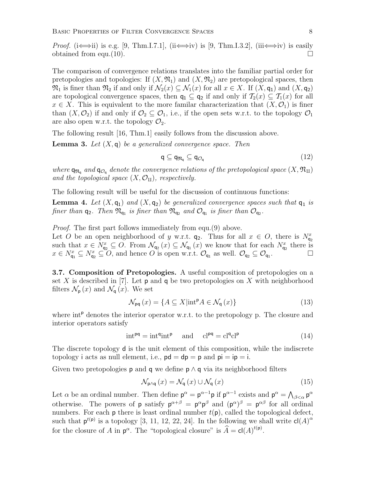*Proof.* (i $\Longleftrightarrow$ ii) is e.g. [9, Thm.I.7.1], (ii $\Longleftrightarrow$ iv) is [9, Thm.I.3.2], (iii $\Longleftrightarrow$ iv) is easily obtained from equ.(10).  $\Box$ 

The comparison of convergence relations translates into the familiar partial order for pretopologies and topologies: If  $(X, \mathfrak{N}_1)$  and  $(X, \mathfrak{N}_2)$  are pretopological spaces, then  $\mathfrak{N}_1$  is finer than  $\mathfrak{N}_2$  if and only if  $\mathcal{N}_2(x) \subseteq \mathcal{N}_1(x)$  for all  $x \in X$ . If  $(X, \mathsf{q}_1)$  and  $(X, \mathsf{q}_2)$ are topological convergence spaces, then  $q_1 \subseteq q_2$  if and only if  $\mathcal{T}_2(x) \subseteq \mathcal{T}_1(x)$  for all  $x \in X$ . This is equivalent to the more familar characterization that  $(X, \mathcal{O}_1)$  is finer than  $(X, \mathcal{O}_2)$  if and only if  $\mathcal{O}_2 \subseteq \mathcal{O}_1$ , i.e., if the open sets w.r.t. to the topology  $\mathcal{O}_1$ are also open w.r.t. the topology  $\mathcal{O}_2$ .

The following result [16, Thm.1] easily follows from the discussion above.

**Lemma 3.** Let  $(X, \mathsf{q})$  be a generalized convergence space. Then

$$
\mathsf{q} \subseteq \mathsf{q}_{\mathfrak{N}_{\mathsf{q}}} \subseteq \mathsf{q}_{\mathcal{O}_{\mathsf{q}}} \tag{12}
$$

where  $\mathsf{q}_{\mathfrak{R}_{\mathsf{q}}}$  and  $\mathsf{q}_{\mathcal{O}_{\mathsf{q}}}$  denote the convergence relations of the pretopological space  $(X,\mathfrak{N}_{\mathrm{u}})$ and the topological space  $(X, \mathcal{O}_{II})$ , respectively.

The following result will be useful for the discussion of continuous functions:

**Lemma 4.** Let  $(X, \mathsf{q}_1)$  and  $(X, \mathsf{q}_2)$  be generalized convergence spaces such that  $\mathsf{q}_1$  is finer than  $q_2$ . Then  $\mathfrak{N}_{q_1}$  is finer than  $\mathfrak{N}_{q_2}$  and  $\mathcal{O}_{q_1}$  is finer than  $\mathcal{O}_{q_2}$ .

Proof. The first part follows immediately from equ.(9) above.

Let O be an open neighborhood of y w.r.t.  $q_2$ . Thus for all  $x \in O$ , there is  $N_{q_2}^x$ such that  $x \in N_{q_2}^x \subseteq O$ . From  $\mathcal{N}_{q_2}(x) \subseteq \mathcal{N}_{q_1}(x)$  we know that for each  $N_{q_2}^x$  there is  $x \in N_{\mathsf{q}_1}^x \subseteq N_{\mathsf{q}_2}^x \subseteq O$ , and hence O is open w.r.t.  $\mathcal{O}_{\mathsf{q}_1}$  as well.  $\mathcal{O}_{\mathsf{q}_2} \subseteq \mathcal{O}_{\mathsf{q}_1}$ .

3.7. Composition of Pretopologies. A useful composition of pretopologies on a set X is described in [7]. Let  $p$  and  $q$  be two pretopologies on X with neighborhood filters  $\mathcal{N}_{\mathsf{p}}(x)$  and  $\mathcal{N}_{\mathsf{q}}(x)$ . We set

$$
\mathcal{N}_{\mathsf{pq}}\left(x\right) = \{A \subseteq X | \text{int}^{\mathsf{p}} A \in \mathcal{N}_{\mathsf{q}}\left(x\right) \} \tag{13}
$$

where int<sup>p</sup> denotes the interior operator w.r.t. to the pretopology p. The closure and interior operators satisfy

$$
int^{pq} = intqintp \quad \text{and} \quad clpq = clqclp
$$
 (14)

The discrete topology d is the unit element of this composition, while the indiscrete topology i acts as null element, i.e.,  $pd = dp = p$  and  $pi = ip = i$ .

Given two pretopologies **p** and **q** we define **p**  $\wedge$  **q** via its neighborhood filters

$$
\mathcal{N}_{\mathsf{p}\wedge\mathsf{q}}\left(x\right) = \mathcal{N}_{\mathsf{q}}\left(x\right) \cup \mathcal{N}_{\mathsf{q}}\left(x\right) \tag{15}
$$

Let  $\alpha$  be an ordinal number. Then define  $p^{\alpha} = p^{\alpha-1}p$  if  $p^{\alpha-1}$  exists and  $p^{\alpha} = \bigwedge_{\beta < \alpha} p^{\alpha}$ otherwise. The powers of **p** satisfy  $p^{\alpha+\beta} = p^{\alpha}p^{\beta}$  and  $(p^{\alpha})^{\beta} = p^{\alpha\beta}$  for all ordinal numbers. For each  $p$  there is least ordinal number  $t(p)$ , called the topological defect, such that  $p^{t(p)}$  is a topology [3, 11, 12, 22, 24]. In the following we shall write  $cl(A)^{\alpha}$ for the closure of A in  $p^{\alpha}$ . The "topological closure" is  $\widehat{A} = cl(A)^{t(p)}$ .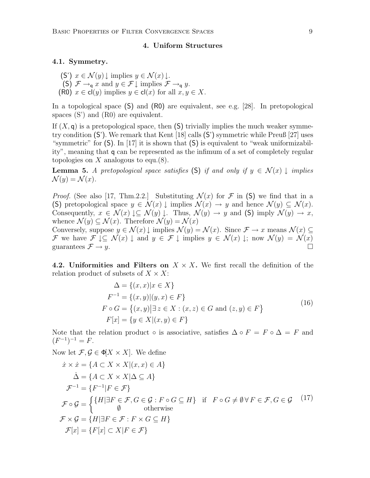#### 4. Uniform Structures

#### 4.1. Symmetry.

(S')  $x \in \mathcal{N}(y) \downarrow$  implies  $y \in \mathcal{N}(x) \downarrow$ . (S)  $\mathcal{F} \rightarrow_q x$  and  $y \in \mathcal{F} \downarrow$  implies  $\mathcal{F} \rightarrow_q y$ . (R0)  $x \in cl(y)$  implies  $y \in cl(x)$  for all  $x, y \in X$ .

In a topological space (S) and (R0) are equivalent, see e.g. [28]. In pretopological spaces (S') and (R0) are equivalent.

If  $(X, \mathsf{q})$  is a pretopological space, then  $(\mathsf{S})$  trivially implies the much weaker symmetry condition (S'). We remark that Kent [18] calls (S') symmetric while Preuß [27] uses "symmetric" for (S). In [17] it is shown that (S) is equivalent to "weak uniformizability", meaning that q can be represented as the infimum of a set of completely regular topologies on X analogous to equ. $(8)$ .

**Lemma 5.** A pretopological space satisfies (S) if and only if  $y \in \mathcal{N}(x)$   $\downarrow$  implies  $\mathcal{N}(y) = \mathcal{N}(x)$ .

*Proof.* (See also [17, Thm.2.2.] Substituting  $\mathcal{N}(x)$  for  $\mathcal F$  in (S) we find that in a (S) pretopological space  $y \in \mathcal{N}(x) \downarrow$  implies  $\mathcal{N}(x) \to y$  and hence  $\mathcal{N}(y) \subseteq \mathcal{N}(x)$ . Consequently,  $x \in \mathcal{N}(x) \downarrow \subseteq \mathcal{N}(y) \downarrow$ . Thus,  $\mathcal{N}(y) \rightarrow y$  and (S) imply  $\mathcal{N}(y) \rightarrow x$ , whence  $\mathcal{N}(y) \subseteq \mathcal{N}(x)$ . Therefore  $\mathcal{N}(y) = \mathcal{N}(x)$ 

Conversely, suppose  $y \in \mathcal{N}(x) \downarrow$  implies  $\mathcal{N}(y) = \mathcal{N}(x)$ . Since  $\mathcal{F} \to x$  means  $\mathcal{N}(x) \subseteq$ F we have  $\mathcal{F} \downarrow \subseteq \mathcal{N}(x) \downarrow$  and  $y \in \mathcal{F} \downarrow$  implies  $y \in \mathcal{N}(x) \downarrow$ ; now  $\mathcal{N}(y) = \mathcal{N}(x)$ guarantees  $\mathcal{F} \to y$ .

4.2. Uniformities and Filters on  $X \times X$ . We first recall the definition of the relation product of subsets of  $X \times X$ :

$$
\Delta = \{(x, x)|x \in X\}
$$
  
\n
$$
F^{-1} = \{(x, y)| (y, x) \in F\}
$$
  
\n
$$
F \circ G = \{(x, y)| \exists z \in X : (x, z) \in G \text{ and } (z, y) \in F\}
$$
  
\n
$$
F[x] = \{y \in X | (x, y) \in F\}
$$
\n(16)

Note that the relation product  $\circ$  is associative, satisfies  $\Delta \circ F = F \circ \Delta = F$  and  $(F^{-1})^{-1} = F.$ 

Now let  $\mathcal{F}, \mathcal{G} \in \Phi[X \times X]$ . We define

$$
\begin{aligned}\n\dot{x} \times \dot{x} &= \{ A \subset X \times X | (x, x) \in A \} \\
\dot{\Delta} &= \{ A \subset X \times X | \Delta \subseteq A \} \\
\mathcal{F}^{-1} &= \{ F^{-1} | F \in \mathcal{F} \} \\
\mathcal{F} \circ \mathcal{G} &= \begin{cases} \{ H | \exists F \in \mathcal{F}, G \in \mathcal{G} : F \circ G \subseteq H \} & \text{if } F \circ G \neq \emptyset \forall F \in \mathcal{F}, G \in \mathcal{G} \\
\emptyset & \text{otherwise} \end{cases} \\
\mathcal{F} \times \mathcal{G} &= \{ H | \exists F \in \mathcal{F} : F \times G \subseteq H \} \\
\mathcal{F}[x] &= \{ F[x] \subset X | F \in \mathcal{F} \}\n\end{aligned}
$$
\n
$$
(17)
$$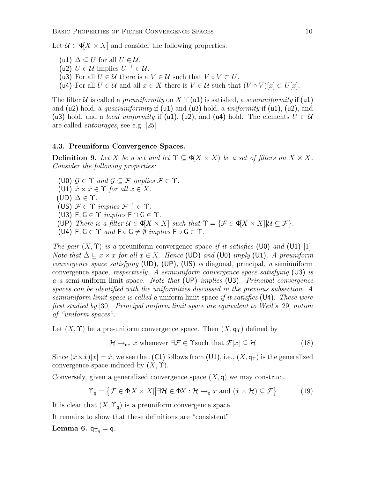Let  $\mathcal{U} \in \Phi[X \times X]$  and consider the following properties.

- (u1)  $\Delta \subset U$  for all  $U \in \mathcal{U}$ .
- (u2)  $U \in \mathcal{U}$  implies  $U^{-1} \in \mathcal{U}$ .
- (u3) For all  $U \in \mathcal{U}$  there is a  $V \in \mathcal{U}$  such that  $V \circ V \subset U$ .
- (u4) For all  $U \in \mathcal{U}$  and all  $x \in X$  there is  $V \in \mathcal{U}$  such that  $(V \circ V)[x] \subset U[x]$ .

The filter U is called a *preuniformity* on X if (u1) is satisfied, a *semiuniformity* if (u1) and (u2) hold, a *quasiuniformity* if (u1) and (u3) hold, a *uniformity* if (u1), (u2), and (u3) hold, and a *local uniformity* if (u1), (u2), and (u4) hold. The elements  $U \in \mathcal{U}$ are called entourages, see e.g. [25]

#### 4.3. Preuniform Convergence Spaces.

**Definition 9.** Let X be a set and let  $\Upsilon \subset \phi(X \times X)$  be a set of filters on  $X \times X$ . Consider the following properties:

(U0)  $\mathcal{G} \in \Upsilon$  and  $\mathcal{G} \subset \mathcal{F}$  implies  $\mathcal{F} \in \Upsilon$ . (U1)  $\dot{x} \times \dot{x} \in \Upsilon$  for all  $x \in X$ . (UD)  $\Delta \in \Upsilon$ . (US)  $\mathcal{F} \in \Upsilon$  implies  $\mathcal{F}^{-1} \in \Upsilon$ . (U3)  $F, G \in \Upsilon$  *implies*  $F \cap G \in \Upsilon$ . (UP) There is a filter  $U \in \Phi[X \times X]$  such that  $\Upsilon = {\mathcal{F}} \in \Phi[X \times X] | \mathcal{U} \subseteq \mathcal{F}$ . (U4)  $F, G \in \Upsilon$  and  $F \circ G \neq \emptyset$  implies  $F \circ G \in \Upsilon$ .

The pair  $(X, \Upsilon)$  is a preuniform convergence space if it satisfies (U0) and (U1) [1]. Note that  $\Delta \subseteq \dot{x} \times \dot{x}$  for all  $x \in X$ . Hence (UD) and (U0) imply (U1). A preuniform convergence space satisfying (UD), (UP), (US) is diagonal, principal, a semiuniform convergence space, respectively. A semiuniform convergence space satisfying  $(U3)$  is a a semi-uniform limit space. Note that (UP) implies (U3). Principal convergence spaces can be identified with the uniformities discussed in the previous subsection. A semiuniform limit space is called a uniform limit space if it satisfies  $(U4)$ . These were first studied by [30]. Principal uniform limit space are equivalent to Weil's [29] notion of "uniform spaces".

Let  $(X, \Upsilon)$  be a pre-uniform convergence space. Then  $(X, \mathsf{q}_{\Upsilon})$  defined by

$$
\mathcal{H} \to_{\mathsf{q}\uparrow} x \text{ whenever } \exists \mathcal{F} \in \Upsilon \text{such that } \mathcal{F}[x] \subseteq \mathcal{H} \tag{18}
$$

Since  $(\dot{x} \times \dot{x})[x] = \dot{x}$ , we see that (C1) follows from (U1), i.e.,  $(X, \mathsf{q}_\Upsilon)$  is the generalized convergence space induced by  $(X, \Upsilon)$ .

Conversely, given a generalized convergence space  $(X, \mathsf{q})$  we may construct

$$
\Upsilon_{\mathsf{q}} = \left\{ \mathcal{F} \in \Phi[X \times X] \middle| \exists \mathcal{H} \in \Phi X : \mathcal{H} \to_{\mathsf{q}} x \text{ and } (x \times \mathcal{H}) \subseteq \mathcal{F} \right\}
$$
(19)

It is clear that  $(X, \Upsilon_q)$  is a preuniform convergence space.

It remains to show that these definitions are "consistent"

Lemma 6.  $q_{\Upsilon_q} = q$ .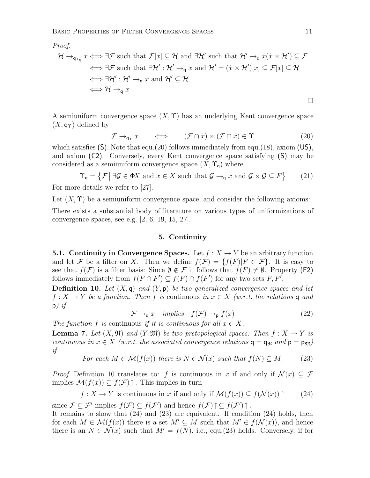Proof.

$$
\mathcal{H} \to_{\mathsf{q}_{\Upsilon_{\mathsf{q}}}} x \iff \exists \mathcal{F} \text{ such that } \mathcal{F}[x] \subseteq \mathcal{H} \text{ and } \exists \mathcal{H}' \text{ such that } \mathcal{H}' \to_{\mathsf{q}} x(\dot{x} \times \mathcal{H}') \subseteq \mathcal{F}
$$
  
\n
$$
\iff \exists \mathcal{F} \text{ such that } \exists \mathcal{H}' : \mathcal{H}' \to_{\mathsf{q}} x \text{ and } \mathcal{H}' = (\dot{x} \times \mathcal{H}')[x] \subseteq \mathcal{F}[x] \subseteq \mathcal{H}
$$
  
\n
$$
\iff \exists \mathcal{H}' : \mathcal{H}' \to_{\mathsf{q}} x \text{ and } \mathcal{H}' \subseteq \mathcal{H}
$$
  
\n
$$
\iff \mathcal{H} \to_{\mathsf{q}} x
$$

A semiuniform convergence space  $(X, \Upsilon)$  has an underlying Kent convergence space  $(X, \mathsf{q}_{\Upsilon})$  defined by

$$
\mathcal{F} \to_{\mathsf{q}_\Upsilon} x \qquad \Longleftrightarrow \qquad (\mathcal{F} \cap \dot{x}) \times (\mathcal{F} \cap \dot{x}) \in \Upsilon \tag{20}
$$

which satisfies  $(S)$ . Note that equ.(20) follows immediately from equ.(18), axiom (US), and axiom (C2). Conversely, every Kent convergence space satisfying (S) may be considered as a semiuniform convergence space  $(X, \Upsilon_q)$  where

$$
\Upsilon_{\mathsf{q}} = \{ \mathcal{F} \mid \exists \mathcal{G} \in \Phi X \text{ and } x \in X \text{ such that } \mathcal{G} \to_{\mathsf{q}} x \text{ and } \mathcal{G} \times \mathcal{G} \subseteq F \} \tag{21}
$$
  
For more details we refer to [27].

Let  $(X, \Upsilon)$  be a semiuniform convergence space, and consider the following axioms:

There exists a substantial body of literature on various types of uniformizations of convergence spaces, see e.g. [2, 6, 19, 15, 27].

### 5. Continuity

**5.1. Continuity in Convergence Spaces.** Let  $f : X \to Y$  be an arbitrary function and let F be a filter on X. Then we define  $f(\mathcal{F}) = \{f(F)|F \in \mathcal{F}\}\$ . It is easy to see that  $f(\mathcal{F})$  is a filter basis: Since  $\emptyset \notin \mathcal{F}$  it follows that  $f(F) \neq \emptyset$ . Property (F2) follows immediately from  $f(F \cap F') \subseteq f(F) \cap f(F')$  for any two sets F, F'.

**Definition 10.** Let  $(X, \mathsf{q})$  and  $(Y, \mathsf{p})$  be two generalized convergence spaces and let  $f: X \to Y$  be a function. Then f is continuous in  $x \in X$  (w.r.t. the relations q and  $p)$  if

$$
\mathcal{F} \to_{\mathsf{q}} x \quad implies \quad f(\mathcal{F}) \to_{\mathsf{p}} f(x) \tag{22}
$$

The function f is continuous if it is continuous for all  $x \in X$ .

**Lemma 7.** Let  $(X, \mathfrak{N})$  and  $(Y, \mathfrak{M})$  be two pretopological spaces. Then  $f : X \to Y$  is continuous in  $x \in X$  (w.r.t. the associated convergence relations  $q = q_{\Re}$  and  $p = p_{\Re}$ ) if

For each 
$$
M \in \mathcal{M}(f(x))
$$
 there is  $N \in \mathcal{N}(x)$  such that  $f(N) \subseteq M$ . (23)

*Proof.* Definition 10 translates to: f is continuous in x if and only if  $\mathcal{N}(x) \subseteq \mathcal{F}$ implies  $\mathcal{M}(f(x)) \subseteq f(\mathcal{F})$ . This implies in turn

$$
f: X \to Y
$$
 is continuous in x if and only if  $\mathcal{M}(f(x)) \subseteq f(\mathcal{N}(x)) \uparrow$  (24)

since  $\mathcal{F} \subseteq \mathcal{F}'$  implies  $f(\mathcal{F}) \subseteq f(\mathcal{F}')$  and hence  $f(\mathcal{F}) \uparrow \subseteq f(\mathcal{F}') \uparrow$ .

It remains to show that (24) and (23) are equivalent. If condition (24) holds, then for each  $M \in \mathcal{M}(f(x))$  there is a set  $M' \subseteq M$  such that  $M' \in f(\mathcal{N}(x))$ , and hence there is an  $N \in \mathcal{N}(x)$  such that  $M' = f(N)$ , i.e., equ.(23) holds. Conversely, if for

 $\Box$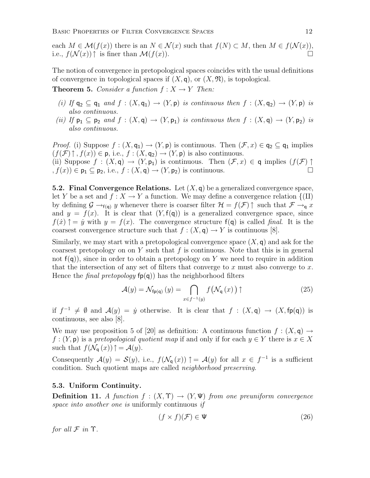each  $M \in \mathcal{M}(f(x))$  there is an  $N \in \mathcal{N}(x)$  such that  $f(N) \subset M$ , then  $M \in f(\mathcal{N}(x))$ , i.e.,  $f(\mathcal{N}(x))$  is finer than  $\mathcal{M}(f(x))$ .

The notion of convergence in pretopological spaces coincides with the usual definitions of convergence in topological spaces if  $(X, \mathfrak{q})$ , or  $(X, \mathfrak{N})$ , is topological.

**Theorem 5.** Consider a function  $f: X \to Y$  Then:

- (i) If  $q_2 \subseteq q_1$  and  $f : (X, q_1) \to (Y, p)$  is continuous then  $f : (X, q_2) \to (Y, p)$  is also continuous.
- (ii) If  $p_1 \subseteq p_2$  and  $f : (X, q) \to (Y, p_1)$  is continuous then  $f : (X, q) \to (Y, p_2)$  is also continuous.

*Proof.* (i) Suppose  $f : (X, \mathsf{q}_1) \to (Y, \mathsf{p})$  is continuous. Then  $(\mathcal{F}, x) \in \mathsf{q}_2 \subseteq \mathsf{q}_1$  implies  $(f(\mathcal{F})\uparrow, f(x)) \in \mathsf{p}$ , i.e.,  $f : (X, \mathsf{q}_2) \to (Y, \mathsf{p})$  is also continuous. (ii) Suppose  $f : (X, \mathsf{q}) \to (Y, \mathsf{p}_1)$  is continuous. Then  $(\mathcal{F}, x) \in \mathsf{q}$  implies  $(f(\mathcal{F}) \uparrow$  $f(x) \in \mathsf{p}_1 \subseteq \mathsf{p}_2$ , i.e.,  $f : (X, \mathsf{q}) \to (Y, \mathsf{p}_2)$  is continuous.

**5.2. Final Convergence Relations.** Let  $(X, q)$  be a generalized convergence space, let Y be a set and  $f: X \to Y$  a function. We may define a convergence relation  $\{(\Pi)\}$ by defining  $\mathcal{G} \to_{f(q)} y$  whenever there is coarser filter  $\mathcal{H} = f(\mathcal{F}) \uparrow$  such that  $\mathcal{F} \to_q x$ and  $y = f(x)$ . It is clear that  $(Y, f(q))$  is a generalized convergence space, since  $f(x)$   $\uparrow$  = y with  $y = f(x)$ . The convergence structure  $f(q)$  is called final. It is the coarsest convergence structure such that  $f : (X, \mathsf{q}) \to Y$  is continuous [8].

Similarly, we may start with a pretopological convergence space  $(X, \mathbf{q})$  and ask for the coarsest pretopology on on Y such that  $f$  is continuous. Note that this is in general not  $f(q)$ , since in order to obtain a pretopology on Y we need to require in addition that the intersection of any set of filters that converge to x must also converge to x. Hence the *final pretopology*  $fp(q)$  has the neighborhood filters

$$
\mathcal{A}(y) = \mathcal{N}_{\text{fp(q)}}(y) = \bigcap_{x \in f^{-1}(y)} f(\mathcal{N}_{\text{q}}(x)) \uparrow
$$
 (25)

if  $f^{-1} \neq \emptyset$  and  $\mathcal{A}(y) = \dot{y}$  otherwise. It is clear that  $f : (X, \mathsf{q}) \to (X, \mathsf{fp}(\mathsf{q}))$  is continuous, see also [8].

We may use proposition 5 of [20] as definition: A continuous function  $f : (X, \mathsf{q}) \to$  $f:(Y, \mathsf{p})$  is a pretopological quotient map if and only if for each  $y \in Y$  there is  $x \in X$ such that  $f(\mathcal{N}_q(x))$   $\uparrow = \mathcal{A}(y)$ .

Consequently  $\mathcal{A}(y) = \mathcal{S}(y)$ , i.e.,  $f(\mathcal{N}_q(x))$   $\uparrow = \mathcal{A}(y)$  for all  $x \in f^{-1}$  is a sufficient condition. Such quotient maps are called neighborhood preserving.

# 5.3. Uniform Continuity.

**Definition 11.** A function  $f : (X, \Upsilon) \rightarrow (Y, \Psi)$  from one preuniform convergence space into another one is uniformly continuous if

$$
(f \times f)(\mathcal{F}) \in \Psi \tag{26}
$$

for all  $\mathcal F$  in  $\Upsilon$ .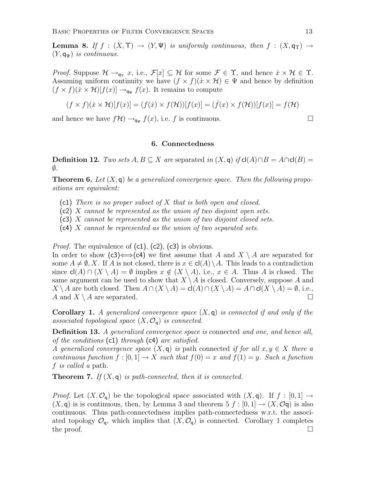**Lemma 8.** If  $f : (X, \Upsilon) \to (Y, \Psi)$  is uniformly continuous, then  $f : (X, \mathsf{q}_{\Upsilon}) \to$  $(Y, \mathsf{q}_{\Psi})$  is continuous.

*Proof.* Suppose  $\mathcal{H} \to_{\mathsf{q}_{\Upsilon}} x$ , i.e.,  $\mathcal{F}[x] \subseteq \mathcal{H}$  for some  $\mathcal{F} \in \Upsilon$ , and hence  $\dot{x} \times \mathcal{H} \in \Upsilon$ . Assuming uniform continuity we have  $(f \times f)(\dot{x} \times \mathcal{H}) \in \Psi$  and hence by definition  $(f \times f)(\dot{x} \times \mathcal{H})[f(x)] \rightarrow_{\mathsf{q}\psi} f(x)$ . It remains to compute

$$
(f \times f)(\dot{x} \times \mathcal{H})[f(x)] = (f(\dot{x}) \times f(\mathcal{H}))[f(x)] = (\dot{f}(x) \times f(\mathcal{H}))[f(x)] = f(\mathcal{H})
$$

and hence we have  $f\mathcal{H}$ )  $\rightarrow_{\mathsf{q}\Psi} f(x)$ , i.e. f is continuous.

# 6. Connectedness

**Definition 12.** Two sets  $A, B \subseteq X$  are separated in  $(X, \mathsf{q})$  if  $\mathsf{cl}(A) \cap B = A \cap \mathsf{cl}(B) =$  $\emptyset$ .

**Theorem 6.** Let  $(X, \mathsf{q})$  be a generalized convergence space. Then the following propositions are equivalent:

- (c1) There is no proper subset of X that is both open and closed.
- (c2) X cannot be represented as the union of two disjoint open sets.
- (c3) X cannot be represented as the union of two disjoint closed sets.
- (c4) X cannot be represented as the union of two separated sets.

*Proof.* The equivalence of  $(c1)$ ,  $(c2)$ ,  $(c3)$  is obvious. In order to show (c3)  $\Longleftrightarrow$  (c4) we first assume that A and X \ A are separated for some  $A \neq \emptyset$ , X. If A is not closed, there is  $x \in cl(A) \setminus A$ . This leads to a contradiction since  $\text{cl}(A) \cap (X \setminus A) = \emptyset$  implies  $x \notin (X \setminus A)$ , i.e.,  $x \in A$ . Thus A is closed. The same argument can be used to show that  $X \setminus A$  is closed. Conversely, suppose A and  $X \setminus A$  are both closed. Then  $A \cap (X \setminus A) = cl(A) \cap (X \setminus A) = A \cap cl(X \setminus A) = \emptyset$ , i.e., A and  $X \setminus A$  are separated.

**Corollary 1.** A generalized convergence space  $(X, q)$  is connected if and only if the associated topological space  $(X, \mathcal{O}_q)$  is connected.

Definition 13. A generalized convergence space is connected and one, and hence all, of the conditions (c1) through (c4) are satisfied.

A generalized convergence space  $(X, \mathsf{q})$  is path connected if for all  $x, y \in X$  there a continuous function  $f : [0,1] \to X$  such that  $f(0) = x$  and  $f(1) = y$ . Such a function f is called a path.

**Theorem 7.** If  $(X, q)$  is path-connected, then it is connected.

*Proof.* Let  $(X, \mathcal{O}_{q})$  be the topological space associated with  $(X, q)$ . If  $f : [0, 1] \rightarrow$  $(X, \mathsf{q})$  is is continuous, then, by Lemma 3 and theorem  $5 f : [0,1] \to (X, \mathcal{O}\mathsf{q})$  is also continuous. Thus path-connectedness implies path-connectedness w.r.t. the associated topology  $\mathcal{O}_{q}$ , which implies that  $(X, \mathcal{O}_{q})$  is connected. Corollary 1 completes the proof.  $\Box$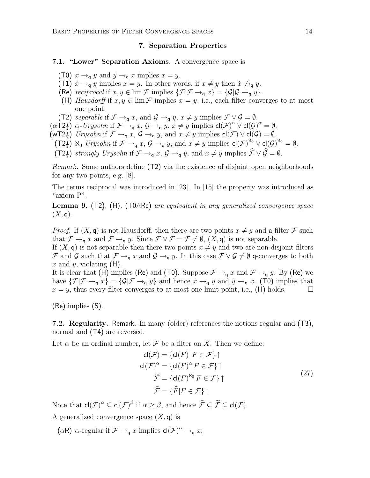#### 7. Separation Properties

# 7.1. "Lower" Separation Axioms. A convergence space is

- (T0)  $\dot{x} \rightarrow_q y$  and  $\dot{y} \rightarrow_q x$  implies  $x = y$ .
- (T1)  $\dot{x} \rightarrow_q y$  implies  $x = y$ . In other words, if  $x \neq y$  then  $\dot{x} \not\rightarrow_q y$ .
- (Re) reciprocal if  $x, y \in \lim \mathcal{F}$  implies  $\{\mathcal{F} | \mathcal{F} \to_q x\} = \{\mathcal{G} | \mathcal{G} \to_q y\}.$
- (H) Hausdorff if  $x, y \in \lim \mathcal{F}$  implies  $x = y$ , i.e., each filter converges to at most one point.
- (T2) separable if  $\mathcal{F} \rightarrow_q x$ , and  $\mathcal{G} \rightarrow_q y$ ,  $x \neq y$  implies  $\mathcal{F} \vee \mathcal{G} = \emptyset$ .
- $(\alpha T 2\frac{1}{2}) \alpha$ -Urysohn if  $\mathcal{F} \rightarrow_q x$ ,  $\mathcal{G} \rightarrow_q y$ ,  $x \neq y$  implies  $cl(\mathcal{F})^{\alpha} \vee cl(\mathcal{G})^{\alpha} = \emptyset$ .
- $(wT2\frac{1}{2})$  Urysohn if  $\mathcal{F} \rightarrow_q x$ ,  $\mathcal{G} \rightarrow_q y$ , and  $x \neq y$  implies  $cl(\mathcal{F}) \vee cl(\mathcal{G}) = \emptyset$ .
	- $(\mathsf{T2}_{\frac{1}{2}}) \aleph_0$ -Urysohn if  $\mathcal{F} \rightarrow_q x$ ,  $\mathcal{G} \rightarrow_q y$ , and  $x \neq y$  implies  $\mathsf{cl}(\mathcal{F})^{\aleph_0} \vee \mathsf{cl}(\mathcal{G})^{\aleph_0} = \emptyset$ .
	- $(\mathsf{T2}_{\frac{1}{2}})$  strongly Urysohn if  $\mathcal{F} \rightarrow_{\mathsf{q}} x$ ,  $\mathcal{G} \rightarrow_{\mathsf{q}} y$ , and  $x \neq y$  implies  $\mathcal{F} \vee \mathcal{G} = \emptyset$ .

Remark. Some authors define (T2) via the existence of disjoint open neighborhoods for any two points, e.g. [8].

The terms reciprocal was introduced in [23]. In [15] the property was introduced as "axiom P".

Lemma 9. (T2), (H), (T0∧Re) are equivalent in any generalized convergence space  $(X, \mathsf{q}).$ 

*Proof.* If  $(X, \mathsf{q})$  is not Hausdorff, then there are two points  $x \neq y$  and a filter F such that  $\mathcal{F} \to_{\mathsf{q}} x$  and  $\mathcal{F} \to_{\mathsf{q}} y$ . Since  $\mathcal{F} \vee \mathcal{F} = \mathcal{F} \neq \emptyset$ ,  $(X, \mathsf{q})$  is not separable.

If  $(X, \mathsf{q})$  is not separable then there two points  $x \neq y$  and two are non-disjoint filters F and G such that  $\mathcal{F} \to_{\mathsf{q}} x$  and  $\mathcal{G} \to_{\mathsf{q}} y$ . In this case  $\mathcal{F} \vee \mathcal{G} \neq \emptyset$  q-converges to both x and y, violating  $(H)$ .

It is clear that (H) implies (Re) and (T0). Suppose  $\mathcal{F} \to_q x$  and  $\mathcal{F} \to_q y$ . By (Re) we have  $\{\mathcal{F}|\mathcal{F}\to_q x\}=\{\mathcal{G}|\mathcal{F}\to_q y\}$  and hence  $\dot{x}\to_q y$  and  $\dot{y}\to_q x$ . (T0) implies that  $x = y$ , thus every filter converges to at most one limit point, i.e., (H) holds.

(Re) implies (S).

7.2. Regularity. Remark. In many (older) references the notions regular and (T3), normal and (T4) are reversed.

Let  $\alpha$  be an ordinal number, let  $\mathcal F$  be a filter on X. Then we define:

$$
cl(\mathcal{F}) = \{ cl(F) | F \in \mathcal{F} \} \uparrow
$$
  
\n
$$
cl(\mathcal{F})^{\alpha} = \{ cl(F)^{\alpha} F \in \mathcal{F} \} \uparrow
$$
  
\n
$$
\widetilde{\mathcal{F}} = \{ cl(F)^{\aleph_0} F \in \mathcal{F} \} \uparrow
$$
  
\n
$$
\widehat{\mathcal{F}} = \{ \widehat{F} | F \in \mathcal{F} \} \uparrow
$$
\n(27)

Note that  $\mathsf{cl}(\mathcal{F})^\alpha \subseteq \mathsf{cl}(\mathcal{F})^\beta$  if  $\alpha \geq \beta$ , and hence  $\widehat{\mathcal{F}} \subseteq \widetilde{\mathcal{F}} \subseteq \mathsf{cl}(\mathcal{F})$ .

A generalized convergence space  $(X, \mathsf{q})$  is

 $(\alpha \mathsf{R})$   $\alpha$ -regular if  $\mathcal{F} \rightarrow_{\mathsf{q}} x$  implies  $\mathsf{cl}(\mathcal{F})^{\alpha} \rightarrow_{\mathsf{q}} x$ ;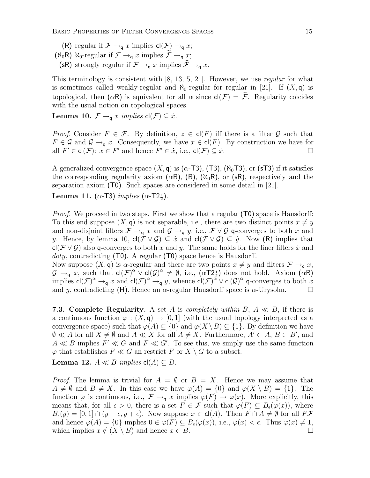(R) regular if  $\mathcal{F} \rightarrow_q x$  implies  $cl(\mathcal{F}) \rightarrow_q x$ ;  $(\aleph_0 R)$   $\aleph_0$ -regular if  $\mathcal{F} \rightarrow_q x$  implies  $\widetilde{\mathcal{F}} \rightarrow_q x$ ; (sR) strongly regular if  $\mathcal{F} \rightarrow_q x$  implies  $\widehat{\mathcal{F}} \rightarrow_q x$ .

This terminology is consistent with [8, 13, 5, 21]. However, we use regular for what is sometimes called weakly-regular and  $\aleph_0$ -regular for regular in [21]. If  $(X, \mathsf{q})$  is topological, then  $(\alpha \mathsf{R})$  is equivalent for all  $\alpha$  since  $\mathsf{cl}(\mathcal{F}) = \widehat{\mathcal{F}}$ . Regularity coicides with the usual notion on topological spaces.

**Lemma 10.**  $\mathcal{F} \rightarrow_q x$  implies  $cl(\mathcal{F}) \subseteq \dot{x}$ .

*Proof.* Consider  $F \in \mathcal{F}$ . By definition,  $z \in cl(F)$  iff there is a filter G such that  $F \in \mathcal{G}$  and  $\mathcal{G} \to_{\mathsf{g}} x$ . Consequently, we have  $x \in \mathsf{cl}(F)$ . By construction we have for all  $F' \in \mathsf{cl}(\mathcal{F})$ :  $x \in F'$  and hence  $F' \in \dot{x}$ , i.e.,  $\mathsf{cl}(\mathcal{F}) \subseteq \dot{x}$ .

A generalized convergence space  $(X, \mathsf{q})$  is  $(\alpha$ -T3),  $(T3)$ ,  $(\aleph_0)$ T3), or (sT3) if it satisfies the corresponding regularity axiom  $(\alpha R)$ ,  $(R)$ ,  $(\aleph_0 R)$ , or  $(\text{sR})$ , respectively and the separation axiom (T0). Such spaces are considered in some detail in [21].

Lemma 11. ( $\alpha$ -T3) implies ( $\alpha$ -T2 $\frac{1}{2}$ ).

*Proof.* We proceed in two steps. First we show that a regular (T0) space is Hausdorff: To this end suppose  $(X, \mathsf{q})$  is not separable, i.e., there are two distinct points  $x \neq y$ and non-disjoint filters  $\mathcal{F} \to_q x$  and  $\mathcal{G} \to_q y$ , i.e.,  $\mathcal{F} \vee \mathcal{G}$  q-converges to both x and y. Hence, by lemma 10,  $cl(\mathcal{F} \vee \mathcal{G}) \subseteq \dot{x}$  and  $cl(\mathcal{F} \vee \mathcal{G}) \subseteq \dot{y}$ . Now (R) implies that cl( $\mathcal{F} \vee \mathcal{G}$ ) also q-converges to both x and y. The same holds for the finer filters x and  $doty$ , contradicting (T0). A regular (T0) space hence is Hausdorff.

Now suppose  $(X, \mathsf{q})$  is  $\alpha$ -regular and there are two points  $x \neq y$  and filters  $\mathcal{F} \to_{\mathsf{q}} x$ ,  $\mathcal{G} \to_{\mathsf{q}} \overline{x}$ , such that  $\mathsf{cl}(\mathcal{F})^{\alpha} \vee \mathsf{cl}(\mathcal{G})^{\alpha} \neq \emptyset$ , i.e.,  $(\alpha T 2_{\frac{1}{2}})$  does not hold. Axiom  $(\alpha \mathsf{R})$ implies  $\mathsf{cl}(\mathcal{F})^{\alpha} \to_{\mathsf{q}} x$  and  $\mathsf{cl}(\mathcal{F})^{\alpha} \to_{\mathsf{q}} y$ , whence  $\mathsf{cl}(\mathcal{F})^{\alpha} \lor \mathsf{cl}(\mathcal{G})^{\alpha}$  q-converges to both x and y, contradicting (H). Hence an  $\alpha$ -regular Hausdorff space is  $\alpha$ -Urysohn.

7.3. Complete Regularity. A set A is completely within B,  $A \ll B$ , if there is a continuous function  $\varphi : (X, \mathsf{q}) \to [0, 1]$  (with the usual topology interpreted as a convergence space) such that  $\varphi(A) \subseteq \{0\}$  and  $\varphi(X \setminus B) \subseteq \{1\}$ . By definition we have  $\emptyset \ll A$  for all  $X \neq \emptyset$  and  $A \ll X$  for all  $A \neq X$ . Furthermore,  $A' \subset A$ ,  $B \subset B'$ , and  $A \ll B$  implies  $F' \ll G$  and  $F \ll G'$ . To see this, we simply use the same function  $\varphi$  that establishes  $F \ll G$  an restrict F or  $X \setminus G$  to a subset.

Lemma 12.  $A \ll B$  implies  $cl(A) \subseteq B$ .

*Proof.* The lemma is trivial for  $A = \emptyset$  or  $B = X$ . Hence we may assume that  $A \neq \emptyset$  and  $B \neq X$ . In this case we have  $\varphi(A) = \{0\}$  and  $\varphi(X \setminus B) = \{1\}$ . The function  $\varphi$  is continuous, i.e.,  $\mathcal{F} \to_{\mathsf{q}} x$  implies  $\varphi(F) \to \varphi(x)$ . More explicitly, this means that, for all  $\epsilon > 0$ , there is a set  $F \in \mathcal{F}$  such that  $\varphi(F) \subseteq B_{\epsilon}(\varphi(x))$ , where  $B_{\epsilon}(y) = [0,1] \cap (y - \epsilon, y + \epsilon)$ . Now suppose  $x \in cl(A)$ . Then  $F \cap A \neq \emptyset$  for all  $F\mathcal{F}$ and hence  $\varphi(A) = \{0\}$  implies  $0 \in \varphi(F) \subseteq B_{\epsilon}(\varphi(x))$ , i.e.,  $\varphi(x) < \epsilon$ . Thus  $\varphi(x) \neq 1$ , which implies  $x \notin (X \setminus B)$  and hence  $x \in B$ .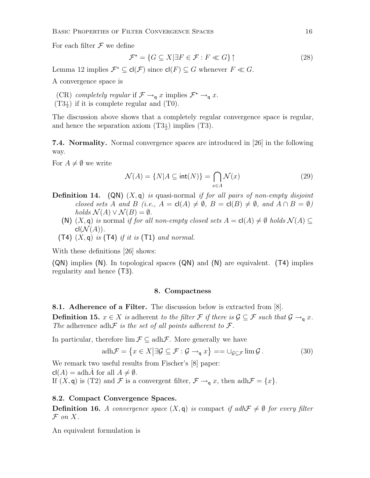For each filter  $\mathcal F$  we define

$$
\mathcal{F}^* = \{ G \subseteq X | \exists F \in \mathcal{F} : F \ll G \} \uparrow
$$
\n
$$
(28)
$$

Lemma 12 implies  $\mathcal{F}^* \subseteq \text{cl}(\mathcal{F})$  since  $\text{cl}(F) \subseteq G$  whenever  $F \ll G$ .

A convergence space is

(CR) completely regular if  $\mathcal{F} \to_q x$  implies  $\mathcal{F}^* \to_q x$ .

 $(T3\frac{1}{2})$  if it is complete regular and  $(T0)$ .

The discussion above shows that a completely regular convergence space is regular, and hence the separation axiom  $(T3\frac{1}{2})$  implies  $(T3)$ .

7.4. Normality. Normal convergence spaces are introduced in [26] in the following way.

For  $A \neq \emptyset$  we write

$$
\mathcal{N}(A) = \{ N | A \subseteq \text{int}(N) \} = \bigcap_{x \in A} \mathcal{N}(x) \tag{29}
$$

- **Definition 14.** (QN)  $(X, q)$  is quasi-normal if for all pairs of non-empty disjoint closed sets A and B (i.e.,  $A = cl(A) \neq \emptyset$ ,  $B = cl(B) \neq \emptyset$ , and  $A \cap B = \emptyset$ ) holds  $\mathcal{N}(A) \vee \mathcal{N}(B) = \emptyset$ .
	- (N)  $(X, \mathsf{q})$  is normal if for all non-empty closed sets  $A = \mathsf{cl}(A) \neq \emptyset$  holds  $\mathcal{N}(A) \subseteq$  $cl(\mathcal{N}(A)).$
	- (T4)  $(X, \mathsf{q})$  is (T4) if it is (T1) and normal.

With these definitions [26] shows:

(QN) implies (N). In topological spaces (QN) and (N) are equivalent. (T4) implies regularity and hence (T3).

#### 8. Compactness

8.1. Adherence of a Filter. The discussion below is extracted from [8].

**Definition 15.**  $x \in X$  is adherent to the filter F if there is  $\mathcal{G} \subseteq \mathcal{F}$  such that  $\mathcal{G} \to_{\mathsf{q}} x$ . The adherence adh $\mathcal F$  is the set of all points adherent to  $\mathcal F$ .

In particular, therefore  $\lim \mathcal{F} \subseteq \text{adh}\mathcal{F}$ . More generally we have

$$
adh\mathcal{F} = \{x \in X | \exists \mathcal{G} \subseteq \mathcal{F} : \mathcal{G} \to_{\mathsf{q}} x\} == \cup_{\mathcal{G} \subseteq \mathcal{F}} \lim \mathcal{G}.
$$
 (30)

We remark two useful results from Fischer's [8] paper:  $\mathsf{cl}(A) = \operatorname{adh}\hat{A}$  for all  $A \neq \emptyset$ . If  $(X, \mathsf{q})$  is (T2) and F is a convergent filter,  $\mathcal{F} \to_{\mathsf{q}} x$ , then adh $\mathcal{F} = \{x\}$ .

#### 8.2. Compact Convergence Spaces.

**Definition 16.** A convergence space  $(X, \mathbf{q})$  is compact if adh $\mathcal{F} \neq \emptyset$  for every filter  $\mathcal F$  on X.

An equivalent formulation is